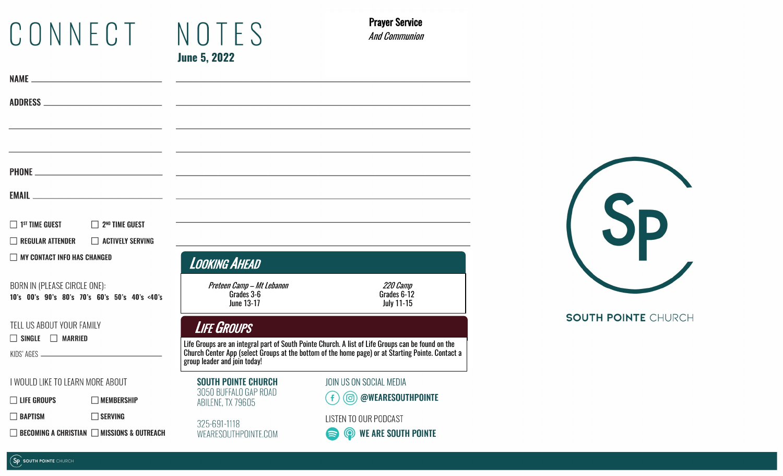# CONNECT NOTES **June 5, 2022**

Prayer Service And Communion

|                                                                               |                                                        | EMAIL <u>the contract of the contract of the contract of the contract of the contract of the contract of the contract of the contract of the contract of the contract of the contract of the contract of the contract of the con</u>    |                                                                                                                  |  |
|-------------------------------------------------------------------------------|--------------------------------------------------------|-----------------------------------------------------------------------------------------------------------------------------------------------------------------------------------------------------------------------------------------|------------------------------------------------------------------------------------------------------------------|--|
| $\Box$ 1st time guest                                                         | $\Box$ 2 <sup>ND</sup> TIME GUEST                      |                                                                                                                                                                                                                                         | and the control of the control of the control of the control of the control of the control of the control of the |  |
| $\Box$ REGULAR ATTENDER                                                       | ACTIVELY SERVING                                       |                                                                                                                                                                                                                                         |                                                                                                                  |  |
| <b>NY CONTACT INFO HAS CHANGED</b>                                            |                                                        | <b>LOOKING AHEAD</b>                                                                                                                                                                                                                    |                                                                                                                  |  |
| BORN IN (PLEASE CIRCLE ONE):<br>10's 00's 90's 80's 70's 60's 50's 40's <40's |                                                        | Preteen Camp - Mt Lebanon<br>Grades 3-6<br><b>June 13-17</b>                                                                                                                                                                            | 220 Camp<br>Grades 6-12<br><b>July 11-15</b>                                                                     |  |
| TELL US ABOUT YOUR FAMILY<br>$\Box$ SINGLE $\Box$ MARRIED                     |                                                        | <b>LIFE GROUPS</b>                                                                                                                                                                                                                      |                                                                                                                  |  |
|                                                                               |                                                        | Life Groups are an integral part of South Pointe Church. A list of Life Groups can be found on the<br>Church Center App (select Groups at the bottom of the home page) or at Starting Pointe. Contact a<br>group leader and join today! |                                                                                                                  |  |
| I WOULD LIKE TO LEARN MORE ABOUT                                              |                                                        | <b>SOUTH POINTE CHURCH</b>                                                                                                                                                                                                              | JOIN US ON SOCIAL MEDIA                                                                                          |  |
| $\Box$ life groups                                                            | $\Box$ MEMBERSHIP                                      | 3050 BUFFALO GAP ROAD<br>ABILENE, TX 79605                                                                                                                                                                                              | @WEARESOUTHPOINTE<br>(ම)<br>$\mathbf{f}$                                                                         |  |
| $\Box$ BAPTISM                                                                | $\Box$ SERVING                                         | 325-691-1118                                                                                                                                                                                                                            | LISTEN TO OUR PODCAST                                                                                            |  |
|                                                                               | $\Box$ becoming a christian $\Box$ missions & outreach | WEARESOUTHPOINTE.COM                                                                                                                                                                                                                    | $\circledcirc$<br><b>WE ARE SOUTH POINTE</b>                                                                     |  |
|                                                                               |                                                        |                                                                                                                                                                                                                                         |                                                                                                                  |  |



**SOUTH POINTE CHURCH**